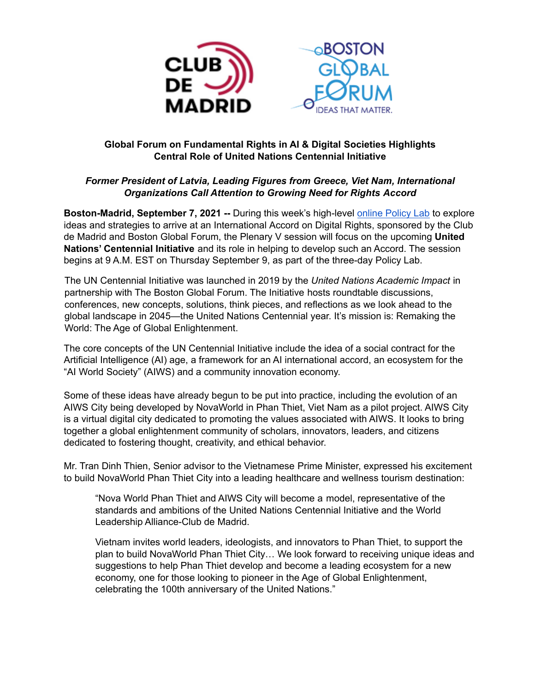

### **Global Forum on Fundamental Rights in AI & Digital Societies Highlights Central Role of United Nations Centennial Initiative**

## *Former President of Latvia, Leading Figures from Greece, Viet Nam, International Organizations Call Attention to Growing Need for Rights Accord*

**Boston-Madrid, September 7, 2021 --** During this week's high-level online [Policy](https://aidigitalrights.com/) Lab to explore ideas and strategies to arrive at an International Accord on Digital Rights, sponsored by the Club de Madrid and Boston Global Forum, the Plenary V session will focus on the upcoming **United Nations' Centennial Initiative** and its role in helping to develop such an Accord. The session begins at 9 A.M. EST on Thursday September 9, as part of the three-day Policy Lab.

The UN Centennial Initiative was launched in 2019 by the *United Nations Academic Impact* in partnership with The Boston Global Forum. The Initiative hosts roundtable discussions, conferences, new concepts, solutions, think pieces, and reflections as we look ahead to the global landscape in 2045—the United Nations Centennial year. It's mission is: Remaking the World: The Age of Global Enlightenment.

The core concepts of the UN Centennial Initiative include the idea of a social contract for the Artificial Intelligence (AI) age, a framework for an AI international accord, an ecosystem for the "AI World Society" (AIWS) and a community innovation economy.

Some of these ideas have already begun to be put into practice, including the evolution of an AIWS City being developed by NovaWorld in Phan Thiet, Viet Nam as a pilot project. AIWS City is a virtual digital city dedicated to promoting the values associated with AIWS. It looks to bring together a global enlightenment community of scholars, innovators, leaders, and citizens dedicated to fostering thought, creativity, and ethical behavior.

Mr. Tran Dinh Thien, Senior advisor to the Vietnamese Prime Minister, expressed his excitement to build NovaWorld Phan Thiet City into a leading healthcare and wellness tourism destination:

"Nova World Phan Thiet and AIWS City will become a model, representative of the standards and ambitions of the United Nations Centennial Initiative and the World Leadership Alliance-Club de Madrid.

Vietnam invites world leaders, ideologists, and innovators to Phan Thiet, to support the plan to build NovaWorld Phan Thiet City… We look forward to receiving unique ideas and suggestions to help Phan Thiet develop and become a leading ecosystem for a new economy, one for those looking to pioneer in the Age of Global Enlightenment, celebrating the 100th anniversary of the United Nations."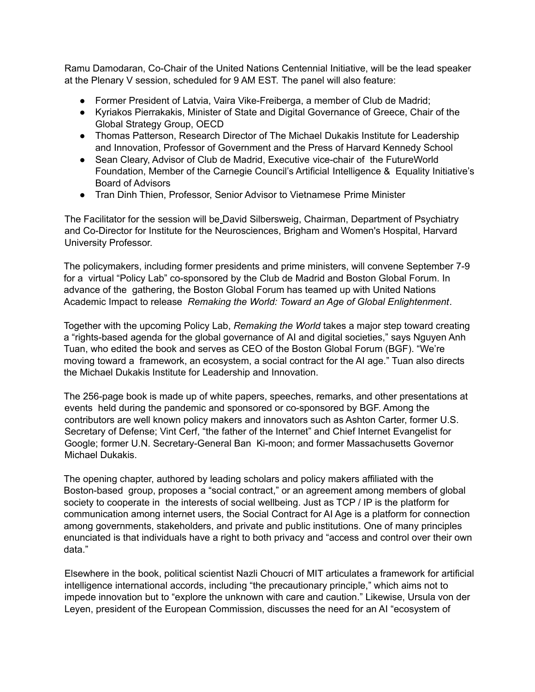Ramu Damodaran, Co-Chair of the United Nations Centennial Initiative, will be the lead speaker at the Plenary V session, scheduled for 9 AM EST. The panel will also feature:

- Former President of Latvia, Vaira Vike-Freiberga, a member of Club de Madrid;
- Kyriakos Pierrakakis, Minister of State and Digital Governance of Greece, Chair of the Global Strategy Group, OECD
- Thomas Patterson, Research Director of The Michael Dukakis Institute for Leadership and Innovation, Professor of Government and the Press of Harvard Kennedy School
- Sean Cleary, Advisor of Club de Madrid, Executive vice-chair of the FutureWorld Foundation, Member of the Carnegie Council's Artificial Intelligence & Equality Initiative's Board of Advisors
- Tran Dinh Thien, Professor, Senior Advisor to Vietnamese Prime Minister

The Facilitator for the session will be David Silbersweig, Chairman, Department of Psychiatry and Co-Director for Institute for the Neurosciences, Brigham and Women's Hospital, Harvard University Professor.

The policymakers, including former presidents and prime ministers, will convene September 7-9 for a virtual "Policy Lab" co-sponsored by the Club de Madrid and Boston Global Forum. In advance of the gathering, the Boston Global Forum has teamed up with United Nations Academic Impact to release *Remaking the World: Toward an Age of Global Enlightenment*.

Together with the upcoming Policy Lab, *Remaking the World* takes a major step toward creating a "rights-based agenda for the global governance of AI and digital societies," says Nguyen Anh Tuan, who edited the book and serves as CEO of the Boston Global Forum (BGF). "We're moving toward a framework, an ecosystem, a social contract for the AI age." Tuan also directs the Michael Dukakis Institute for Leadership and Innovation.

The 256-page book is made up of white papers, speeches, remarks, and other presentations at events held during the pandemic and sponsored or co-sponsored by BGF. Among the contributors are well known policy makers and innovators such as Ashton Carter, former U.S. Secretary of Defense; Vint Cerf, "the father of the Internet" and Chief Internet Evangelist for Google; former U.N. Secretary-General Ban Ki-moon; and former Massachusetts Governor Michael Dukakis.

The opening chapter, authored by leading scholars and policy makers affiliated with the Boston-based group, proposes a "social contract," or an agreement among members of global society to cooperate in the interests of social wellbeing. Just as TCP / IP is the platform for communication among internet users, the Social Contract for AI Age is a platform for connection among governments, stakeholders, and private and public institutions. One of many principles enunciated is that individuals have a right to both privacy and "access and control over their own data."

Elsewhere in the book, political scientist Nazli Choucri of MIT articulates a framework for artificial intelligence international accords, including "the precautionary principle," which aims not to impede innovation but to "explore the unknown with care and caution." Likewise, Ursula von der Leyen, president of the European Commission, discusses the need for an AI "ecosystem of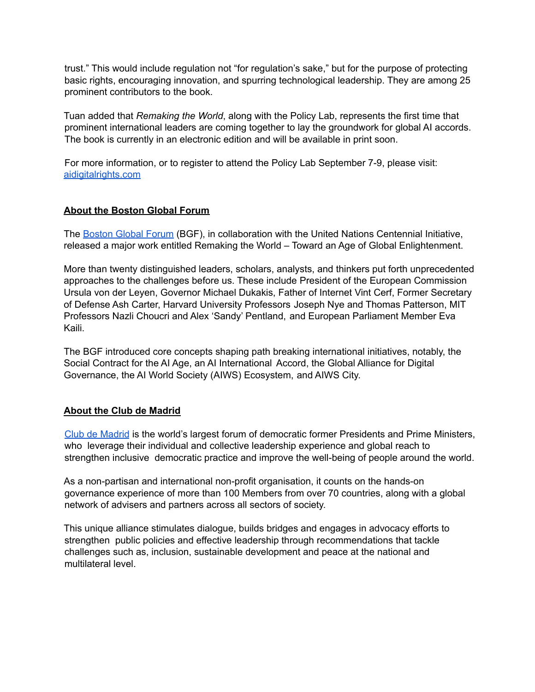trust." This would include regulation not "for regulation's sake," but for the purpose of protecting basic rights, encouraging innovation, and spurring technological leadership. They are among 25 prominent contributors to the book.

Tuan added that *Remaking the World*, along with the Policy Lab, represents the first time that prominent international leaders are coming together to lay the groundwork for global AI accords. The book is currently in an electronic edition and will be available in print soon.

For more information, or to register to attend the Policy Lab September 7-9, please visit: [aidigitalrights.com](http://aidigitalrights.com)

#### **About the Boston Global Forum**

The [Boston](https://bostonglobalforum.org/) Global Forum (BGF), in collaboration with the United Nations Centennial Initiative, released a major work entitled Remaking the World – Toward an Age of Global Enlightenment.

More than twenty distinguished leaders, scholars, analysts, and thinkers put forth unprecedented approaches to the challenges before us. These include President of the European Commission Ursula von der Leyen, Governor Michael Dukakis, Father of Internet Vint Cerf, Former Secretary of Defense Ash Carter, Harvard University Professors Joseph Nye and Thomas Patterson, MIT Professors Nazli Choucri and Alex 'Sandy' Pentland, and European Parliament Member Eva Kaili.

The BGF introduced core concepts shaping path breaking international initiatives, notably, the Social Contract for the AI Age, an AI International Accord, the Global Alliance for Digital Governance, the AI World Society (AIWS) Ecosystem, and AIWS City.

### **About the Club de Madrid**

Club de [Madrid](http://www.clubmadrid.org/) is the world's largest forum of democratic former Presidents and Prime Ministers, who leverage their individual and collective leadership experience and global reach to strengthen inclusive democratic practice and improve the well-being of people around the world.

As a non-partisan and international non-profit organisation, it counts on the hands-on governance experience of more than 100 Members from over 70 countries, along with a global network of advisers and partners across all sectors of society.

This unique alliance stimulates dialogue, builds bridges and engages in advocacy efforts to strengthen public policies and effective leadership through recommendations that tackle challenges such as, inclusion, sustainable development and peace at the national and multilateral level.